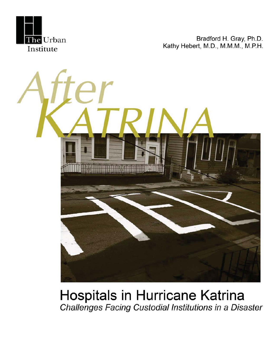

Bradford H. Gray, Ph.D. Kathy Hebert, M.D., M.M.M., M.P.H.



# **Hospitals in Hurricane Katrina** Challenges Facing Custodial Institutions in a Disaster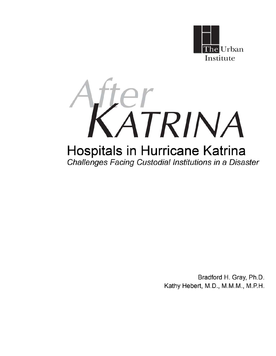



Bradford H. Gray, Ph.D. Kathy Hebert, M.D., M.M.M., M.P.H.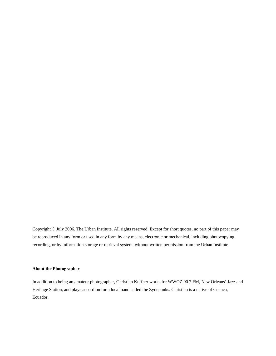Copyright © July 2006. The Urban Institute. All rights reserved. Except for short quotes, no part of this paper may be reproduced in any form or used in any form by any means, electronic or mechanical, including photocopying, recording, or by information storage or retrieval system, without written permission from the Urban Institute.

#### **About the Photographer**

In addition to being an amateur photographer, Christian Kuffner works for WWOZ 90.7 FM, New Orleans' Jazz and Heritage Station, and plays accordion for a local band called the Zydepunks. Christian is a native of Cuenca, Ecuador.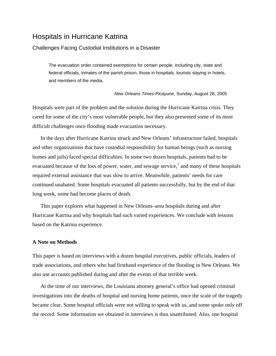## Hospitals in Hurricane Katrina

## Challenges Facing Custodial Institutions in a Disaster

The evacuation order contained exemptions for certain people, including city, state and federal officials, inmates of the parish prison, those in hospitals, tourists staying in hotels, and members of the media.

*New Orleans Times-Picayune*, Sunday, August 28, 2005

Hospitals were part of the problem and the solution during the Hurricane Katrina crisis. They cared for some of the city's most vulnerable people, but they also presented some of its most difficult challenges once flooding made evacuation necessary.

In the days after Hurricane Katrina struck and New Orleans' infrastructure failed, hospitals and other organizations that have custodial responsibility for human beings (such as nursing homes and jails) faced special difficulties. In some two dozen hospitals, patients had to be evacuated because of the loss of power, water, and sewage service, $<sup>1</sup>$  and many of these hospitals</sup> required external assistance that was slow to arrive. Meanwhile, patients' needs for care continued unabated. Some hospitals evacuated all patients successfully, but by the end of that long week, some had become places of death.

This paper explores what happened in New Orleans–area hospitals during and after Hurricane Katrina and why hospitals had such varied experiences. We conclude with lessons based on the Katrina experience.

## **A Note on Methods**

This paper is based on interviews with a dozen hospital executives, public officials, leaders of trade associations, and others who had firsthand experience of the flooding in New Orleans. We also use accounts published during and after the events of that terrible week.

At the time of our interviews, the Louisiana attorney general's office had opened criminal investigations into the deaths of hospital and nursing home patients, once the scale of the tragedy became clear. Some hospital officials were not willing to speak with us, and some spoke only off the record. Some information we obtained in interviews is thus unattributed. Also, one hospital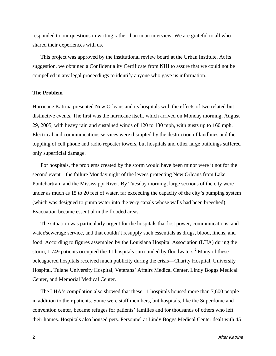responded to our questions in writing rather than in an interview. We are grateful to all who shared their experiences with us.

This project was approved by the institutional review board at the Urban Institute. At its suggestion, we obtained a Confidentiality Certificate from NIH to assure that we could not be compelled in any legal proceedings to identify anyone who gave us information.

## **The Problem**

Hurricane Katrina presented New Orleans and its hospitals with the effects of two related but distinctive events. The first was the hurricane itself, which arrived on Monday morning, August 29, 2005, with heavy rain and sustained winds of 120 to 130 mph, with gusts up to 160 mph. Electrical and communications services were disrupted by the destruction of landlines and the toppling of cell phone and radio repeater towers, but hospitals and other large buildings suffered only superficial damage.

For hospitals, the problems created by the storm would have been minor were it not for the second event—the failure Monday night of the levees protecting New Orleans from Lake Pontchartrain and the Mississippi River. By Tuesday morning, large sections of the city were under as much as 15 to 20 feet of water, far exceeding the capacity of the city's pumping system (which was designed to pump water into the very canals whose walls had been breeched). Evacuation became essential in the flooded areas.

The situation was particularly urgent for the hospitals that lost power, communications, and water/sewerage service, and that couldn't resupply such essentials as drugs, blood, linens, and food. According to figures assembled by the Louisiana Hospital Association (LHA) during the storm, 1,749 patients occupied the 11 hospitals surrounded by floodwaters.<sup>2</sup> Many of these beleaguered hospitals received much publicity during the crisis—Charity Hospital, University Hospital, Tulane University Hospital, Veterans' Affairs Medical Center, Lindy Boggs Medical Center, and Memorial Medical Center.

The LHA's compilation also showed that these 11 hospitals housed more than 7,600 people in addition to their patients. Some were staff members, but hospitals, like the Superdome and convention center, became refuges for patients' families and for thousands of others who left their homes. Hospitals also housed pets. Personnel at Lindy Boggs Medical Center dealt with 45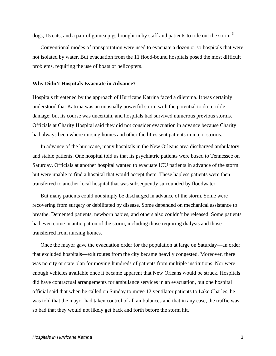dogs, 15 cats, and a pair of guinea pigs brought in by staff and patients to ride out the storm.<sup>3</sup>

Conventional modes of transportation were used to evacuate a dozen or so hospitals that were not isolated by water. But evacuation from the 11 flood-bound hospitals posed the most difficult problems, requiring the use of boats or helicopters.

## **Why Didn't Hospitals Evacuate in Advance?**

Hospitals threatened by the approach of Hurricane Katrina faced a dilemma. It was certainly understood that Katrina was an unusually powerful storm with the potential to do terrible damage; but its course was uncertain, and hospitals had survived numerous previous storms. Officials at Charity Hospital said they did not consider evacuation in advance because Charity had always been where nursing homes and other facilities sent patients in major storms.

In advance of the hurricane, many hospitals in the New Orleans area discharged ambulatory and stable patients. One hospital told us that its psychiatric patients were bused to Tennessee on Saturday. Officials at another hospital wanted to evacuate ICU patients in advance of the storm but were unable to find a hospital that would accept them. These hapless patients were then transferred to another local hospital that was subsequently surrounded by floodwater.

But many patients could not simply be discharged in advance of the storm. Some were recovering from surgery or debilitated by disease. Some depended on mechanical assistance to breathe. Demented patients, newborn babies, and others also couldn't be released. Some patients had even come in anticipation of the storm, including those requiring dialysis and those transferred from nursing homes.

Once the mayor gave the evacuation order for the population at large on Saturday—an order that excluded hospitals—exit routes from the city became heavily congested. Moreover, there was no city or state plan for moving hundreds of patients from multiple institutions. Nor were enough vehicles available once it became apparent that New Orleans would be struck. Hospitals did have contractual arrangements for ambulance services in an evacuation, but one hospital official said that when he called on Sunday to move 12 ventilator patients to Lake Charles, he was told that the mayor had taken control of all ambulances and that in any case, the traffic was so bad that they would not likely get back and forth before the storm hit.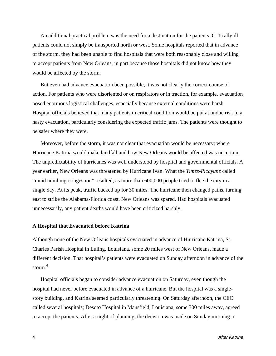An additional practical problem was the need for a destination for the patients. Critically ill patients could not simply be transported north or west. Some hospitals reported that in advance of the storm, they had been unable to find hospitals that were both reasonably close and willing to accept patients from New Orleans, in part because those hospitals did not know how they would be affected by the storm.

But even had advance evacuation been possible, it was not clearly the correct course of action. For patients who were disoriented or on respirators or in traction, for example, evacuation posed enormous logistical challenges, especially because external conditions were harsh. Hospital officials believed that many patients in critical condition would be put at undue risk in a hasty evacuation, particularly considering the expected traffic jams. The patients were thought to be safer where they were.

Moreover, before the storm, it was not clear that evacuation would be necessary; where Hurricane Katrina would make landfall and how New Orleans would be affected was uncertain. The unpredictability of hurricanes was well understood by hospital and governmental officials. A year earlier, New Orleans was threatened by Hurricane Ivan. What the *Times-Picayune* called "mind numbing-congestion" resulted, as more than 600,000 people tried to flee the city in a single day. At its peak, traffic backed up for 30 miles. The hurricane then changed paths, turning east to strike the Alabama-Florida coast. New Orleans was spared. Had hospitals evacuated unnecessarily, any patient deaths would have been criticized harshly.

## **A Hospital that Evacuated before Katrina**

Although none of the New Orleans hospitals evacuated in advance of Hurricane Katrina, St. Charles Parish Hospital in Luling, Louisiana, some 20 miles west of New Orleans, made a different decision. That hospital's patients were evacuated on Sunday afternoon in advance of the storm.<sup>4</sup>

Hospital officials began to consider advance evacuation on Saturday, even though the hospital had never before evacuated in advance of a hurricane. But the hospital was a singlestory building, and Katrina seemed particularly threatening. On Saturday afternoon, the CEO called several hospitals; Desoto Hospital in Mansfield, Louisiana, some 300 miles away, agreed to accept the patients. After a night of planning, the decision was made on Sunday morning to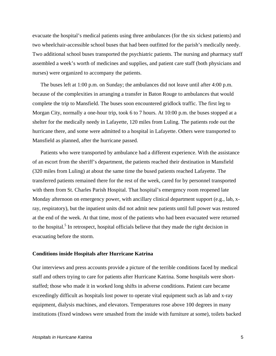evacuate the hospital's medical patients using three ambulances (for the six sickest patients) and two wheelchair-accessible school buses that had been outfitted for the parish's medically needy. Two additional school buses transported the psychiatric patients. The nursing and pharmacy staff assembled a week's worth of medicines and supplies, and patient care staff (both physicians and nurses) were organized to accompany the patients.

The buses left at 1:00 p.m. on Sunday; the ambulances did not leave until after 4:00 p.m. because of the complexities in arranging a transfer in Baton Rouge to ambulances that would complete the trip to Mansfield. The buses soon encountered gridlock traffic. The first leg to Morgan City, normally a one-hour trip, took 6 to 7 hours. At 10:00 p.m. the buses stopped at a shelter for the medically needy in Lafayette, 120 miles from Luling. The patients rode out the hurricane there, and some were admitted to a hospital in Lafayette. Others were transported to Mansfield as planned, after the hurricane passed.

Patients who were transported by ambulance had a different experience. With the assistance of an escort from the sheriff's department, the patients reached their destination in Mansfield (320 miles from Luling) at about the same time the bused patients reached Lafayette. The transferred patients remained there for the rest of the week, cared for by personnel transported with them from St. Charles Parish Hospital. That hospital's emergency room reopened late Monday afternoon on emergency power, with ancillary clinical department support (e.g., lab, xray, respiratory), but the inpatient units did not admit new patients until full power was restored at the end of the week. At that time, most of the patients who had been evacuated were returned to the hospital.<sup>5</sup> In retrospect, hospital officials believe that they made the right decision in evacuating before the storm.

#### **Conditions inside Hospitals after Hurricane Katrina**

Our interviews and press accounts provide a picture of the terrible conditions faced by medical staff and others trying to care for patients after Hurricane Katrina. Some hospitals were shortstaffed; those who made it in worked long shifts in adverse conditions. Patient care became exceedingly difficult as hospitals lost power to operate vital equipment such as lab and x-ray equipment, dialysis machines, and elevators. Temperatures rose above 100 degrees in many institutions (fixed windows were smashed from the inside with furniture at some), toilets backed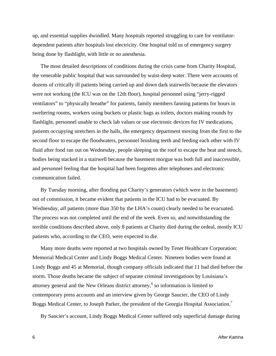up, and essential supplies dwindled. Many hospitals reported struggling to care for ventilatordependent patients after hospitals lost electricity. One hospital told us of emergency surgery being done by flashlight, with little or no anesthesia.

The most detailed descriptions of conditions during the crisis came from Charity Hospital, the venerable public hospital that was surrounded by waist-deep water. There were accounts of dozens of critically ill patients being carried up and down dark stairwells because the elevators were not working (the ICU was on the 12th floor), hospital personnel using "jerry-rigged ventilators" to "physically breathe" for patients, family members fanning patients for hours in sweltering rooms, workers using buckets or plastic bags as toilets, doctors making rounds by flashlight, personnel unable to check lab values or use electronic devices for IV medications, patients occupying stretchers in the halls, the emergency department moving from the first to the second floor to escape the floodwaters, personnel brushing teeth and feeding each other with IV fluid after food ran out on Wednesday, people sleeping on the roof to escape the heat and stench, bodies being stacked in a stairwell because the basement morgue was both full and inaccessible, and personnel feeling that the hospital had been forgotten after telephones and electronic communication failed.

By Tuesday morning, after flooding put Charity's generators (which were in the basement) out of commission, it became evident that patients in the ICU had to be evacuated. By Wednesday, *all* patients (more than 350 by the LHA's count) clearly needed to be evacuated. The process was not completed until the end of the week. Even so, and notwithstanding the terrible conditions described above, only 8 patients at Charity died during the ordeal, mostly ICU patients who, according to the CEO, were expected to die.

Many more deaths were reported at two hospitals owned by Tenet Healthcare Corporation: Memorial Medical Center and Lindy Boggs Medical Center. Nineteen bodies were found at Lindy Boggs and 45 at Memorial, though company officials indicated that 11 had died before the storm. Those deaths became the subject of separate criminal investigations by Louisiana's attorney general and the New Orleans district attorney,<sup>6</sup> so information is limited to contemporary press accounts and an interview given by George Saucier, the CEO of Lindy Boggs Medical Center, to Joseph Parker, the president of the Georgia Hospital Association.<sup>7</sup>

By Saucier's account, Lindy Boggs Medical Center suffered only superficial damage during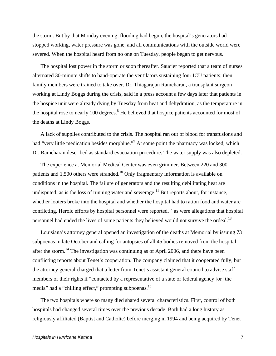the storm. But by that Monday evening, flooding had begun, the hospital's generators had stopped working, water pressure was gone, and all communications with the outside world were severed. When the hospital heard from no one on Tuesday, people began to get nervous.

The hospital lost power in the storm or soon thereafter. Saucier reported that a team of nurses alternated 30-minute shifts to hand-operate the ventilators sustaining four ICU patients; then family members were trained to take over. Dr. Thiagarajan Ramcharan, a transplant surgeon working at Lindy Boggs during the crisis, said in a press account a few days later that patients in the hospice unit were already dying by Tuesday from heat and dehydration, as the temperature in the hospital rose to nearly 100 degrees.<sup>8</sup> He believed that hospice patients accounted for most of the deaths at Lindy Boggs.

A lack of supplies contributed to the crisis. The hospital ran out of blood for transfusions and had "very little medication besides morphine."<sup>9</sup> At some point the pharmacy was locked, which Dr. Ramcharan described as standard evacuation procedure. The water supply was also depleted.

The experience at Memorial Medical Center was even grimmer. Between 220 and 300 patients and 1,500 others were stranded.<sup>10</sup> Only fragmentary information is available on conditions in the hospital. The failure of generators and the resulting debilitating heat are undisputed, as is the loss of running water and sewerage.<sup>11</sup> But reports about, for instance, whether looters broke into the hospital and whether the hospital had to ration food and water are conflicting. Heroic efforts by hospital personnel were reported, $12$  as were allegations that hospital personnel had ended the lives of some patients they believed would not survive the ordeal.<sup>13</sup>

Louisiana's attorney general opened an investigation of the deaths at Memorial by issuing 73 subpoenas in late October and calling for autopsies of all 45 bodies removed from the hospital after the storm.14 The investigation was continuing as of April 2006, and there have been conflicting reports about Tenet's cooperation. The company claimed that it cooperated fully, but the attorney general charged that a letter from Tenet's assistant general council to advise staff members of their rights if "contacted by a representative of a state or federal agency [or] the media" had a "chilling effect," prompting subpoenas.<sup>15</sup>

The two hospitals where so many died shared several characteristics. First, control of both hospitals had changed several times over the previous decade. Both had a long history as religiously affiliated (Baptist and Catholic) before merging in 1994 and being acquired by Tenet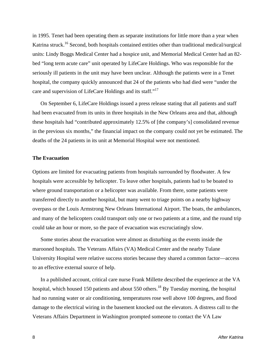in 1995. Tenet had been operating them as separate institutions for little more than a year when Katrina struck.<sup>16</sup> Second, both hospitals contained entities other than traditional medical/surgical units: Lindy Boggs Medical Center had a hospice unit, and Memorial Medical Center had an 82 bed "long term acute care" unit operated by LifeCare Holdings. Who was responsible for the seriously ill patients in the unit may have been unclear. Although the patients were in a Tenet hospital, the company quickly announced that 24 of the patients who had died were "under the care and supervision of LifeCare Holdings and its staff."<sup>17</sup>

On September 6, LifeCare Holdings issued a press release stating that all patients and staff had been evacuated from its units in three hospitals in the New Orleans area and that, although these hospitals had "contributed approximately 12.5% of [the company's] consolidated revenue in the previous six months," the financial impact on the company could not yet be estimated. The deaths of the 24 patients in its unit at Memorial Hospital were not mentioned.

## **The Evacuation**

Options are limited for evacuating patients from hospitals surrounded by floodwater. A few hospitals were accessible by helicopter. To leave other hospitals, patients had to be boated to where ground transportation or a helicopter was available. From there, some patients were transferred directly to another hospital, but many went to triage points on a nearby highway overpass or the Louis Armstrong New Orleans International Airport. The boats, the ambulances, and many of the helicopters could transport only one or two patients at a time, and the round trip could take an hour or more, so the pace of evacuation was excruciatingly slow.

Some stories about the evacuation were almost as disturbing as the events inside the marooned hospitals. The Veterans Affairs (VA) Medical Center and the nearby Tulane University Hospital were relative success stories because they shared a common factor—access to an effective external source of help.

In a published account, critical care nurse Frank Millette described the experience at the VA hospital, which housed 150 patients and about 550 others.<sup>18</sup> By Tuesday morning, the hospital had no running water or air conditioning, temperatures rose well above 100 degrees, and flood damage to the electrical wiring in the basement knocked out the elevators. A distress call to the Veterans Affairs Department in Washington prompted someone to contact the VA Law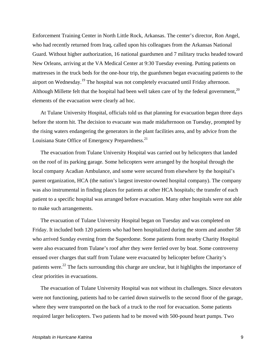Enforcement Training Center in North Little Rock, Arkansas. The center's director, Ron Angel, who had recently returned from Iraq, called upon his colleagues from the Arkansas National Guard. Without higher authorization, 16 national guardsmen and 7 military trucks headed toward New Orleans, arriving at the VA Medical Center at 9:30 Tuesday evening. Putting patients on mattresses in the truck beds for the one-hour trip, the guardsmen began evacuating patients to the airport on Wednesday.<sup>19</sup> The hospital was not completely evacuated until Friday afternoon. Although Millette felt that the hospital had been well taken care of by the federal government,  $20$ elements of the evacuation were clearly ad hoc.

At Tulane University Hospital, officials told us that planning for evacuation began three days before the storm hit. The decision to evacuate was made midafternoon on Tuesday, prompted by the rising waters endangering the generators in the plant facilities area, and by advice from the Louisiana State Office of Emergency Preparedness.<sup>21</sup>

The evacuation from Tulane University Hospital was carried out by helicopters that landed on the roof of its parking garage. Some helicopters were arranged by the hospital through the local company Acadian Ambulance, and some were secured from elsewhere by the hospital's parent organization, HCA (the nation's largest investor-owned hospital company). The company was also instrumental in finding places for patients at other HCA hospitals; the transfer of each patient to a specific hospital was arranged before evacuation. Many other hospitals were not able to make such arrangements.

The evacuation of Tulane University Hospital began on Tuesday and was completed on Friday. It included both 120 patients who had been hospitalized during the storm and another 58 who arrived Sunday evening from the Superdome. Some patients from nearby Charity Hospital were also evacuated from Tulane's roof after they were ferried over by boat. Some controversy ensued over charges that staff from Tulane were evacuated by helicopter before Charity's patients were.<sup>22</sup> The facts surrounding this charge are unclear, but it highlights the importance of clear priorities in evacuations.

The evacuation of Tulane University Hospital was not without its challenges. Since elevators were not functioning, patients had to be carried down stairwells to the second floor of the garage, where they were transported on the back of a truck to the roof for evacuation. Some patients required larger helicopters. Two patients had to be moved with 500-pound heart pumps. Two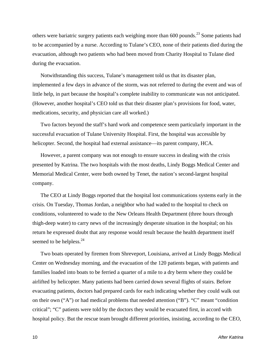others were bariatric surgery patients each weighing more than 600 pounds.<sup>23</sup> Some patients had to be accompanied by a nurse. According to Tulane's CEO, none of their patients died during the evacuation, although two patients who had been moved from Charity Hospital to Tulane died during the evacuation.

Notwithstanding this success, Tulane's management told us that its disaster plan, implemented a few days in advance of the storm, was not referred to during the event and was of little help, in part because the hospital's complete inability to communicate was not anticipated. (However, another hospital's CEO told us that their disaster plan's provisions for food, water, medications, security, and physician care all worked.)

Two factors beyond the staff's hard work and competence seem particularly important in the successful evacuation of Tulane University Hospital. First, the hospital was accessible by helicopter. Second, the hospital had external assistance—its parent company, HCA.

However, a parent company was not enough to ensure success in dealing with the crisis presented by Katrina. The two hospitals with the most deaths, Lindy Boggs Medical Center and Memorial Medical Center, were both owned by Tenet, the nation's second-largest hospital company.

The CEO at Lindy Boggs reported that the hospital lost communications systems early in the crisis. On Tuesday, Thomas Jordan, a neighbor who had waded to the hospital to check on conditions, volunteered to wade to the New Orleans Health Department (three hours through thigh-deep water) to carry news of the increasingly desperate situation in the hospital; on his return he expressed doubt that any response would result because the health department itself seemed to be helpless.<sup>24</sup>

Two boats operated by firemen from Shreveport, Louisiana, arrived at Lindy Boggs Medical Center on Wednesday morning, and the evacuation of the 120 patients began, with patients and families loaded into boats to be ferried a quarter of a mile to a dry berm where they could be airlifted by helicopter. Many patients had been carried down several flights of stairs. Before evacuating patients, doctors had prepared cards for each indicating whether they could walk out on their own ("A") or had medical problems that needed attention ("B"). "C" meant "condition critical"; "C" patients were told by the doctors they would be evacuated first, in accord with hospital policy. But the rescue team brought different priorities, insisting, according to the CEO,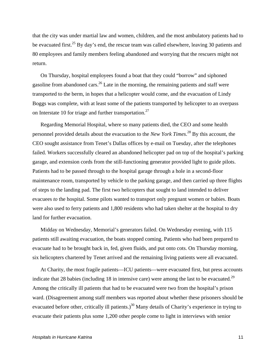that the city was under martial law and women, children, and the most ambulatory patients had to be evacuated first.<sup>25</sup> By day's end, the rescue team was called elsewhere, leaving 30 patients and 80 employees and family members feeling abandoned and worrying that the rescuers might not return.

On Thursday, hospital employees found a boat that they could "borrow" and siphoned gasoline from abandoned cars.<sup>26</sup> Late in the morning, the remaining patients and staff were transported to the berm, in hopes that a helicopter would come, and the evacuation of Lindy Boggs was complete, with at least some of the patients transported by helicopter to an overpass on Interstate 10 for triage and further transportation.<sup>27</sup>

Regarding Memorial Hospital, where so many patients died, the CEO and some health personnel provided details about the evacuation to the *New York Times*. 28 By this account, the CEO sought assistance from Tenet's Dallas offices by e-mail on Tuesday, after the telephones failed. Workers successfully cleared an abandoned helicopter pad on top of the hospital's parking garage, and extension cords from the still-functioning generator provided light to guide pilots. Patients had to be passed through to the hospital garage through a hole in a second-floor maintenance room, transported by vehicle to the parking garage, and then carried up three flights of steps to the landing pad. The first two helicopters that sought to land intended to deliver evacuees *to* the hospital. Some pilots wanted to transport only pregnant women or babies. Boats were also used to ferry patients and 1,800 residents who had taken shelter at the hospital to dry land for further evacuation.

Midday on Wednesday, Memorial's generators failed. On Wednesday evening, with 115 patients still awaiting evacuation, the boats stopped coming. Patients who had been prepared to evacuate had to be brought back in, fed, given fluids, and put onto cots. On Thursday morning, six helicopters chartered by Tenet arrived and the remaining living patients were all evacuated.

At Charity, the most fragile patients—ICU patients—were evacuated first, but press accounts indicate that 28 babies (including 18 in intensive care) were among the last to be evacuated.<sup>29</sup> Among the critically ill patients that had to be evacuated were two from the hospital's prison ward. (Disagreement among staff members was reported about whether these prisoners should be evacuated before other, critically ill patients.)<sup>30</sup> Many details of Charity's experience in trying to evacuate their patients plus some 1,200 other people come to light in interviews with senior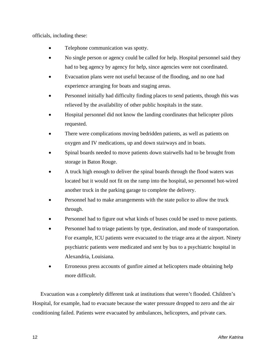officials, including these:

- Telephone communication was spotty.
- No single person or agency could be called for help. Hospital personnel said they had to beg agency by agency for help, since agencies were not coordinated.
- Evacuation plans were not useful because of the flooding, and no one had experience arranging for boats and staging areas.
- Personnel initially had difficulty finding places to send patients, though this was relieved by the availability of other public hospitals in the state.
- Hospital personnel did not know the landing coordinates that helicopter pilots requested.
- There were complications moving bedridden patients, as well as patients on oxygen and IV medications, up and down stairways and in boats.
- Spinal boards needed to move patients down stairwells had to be brought from storage in Baton Rouge.
- A truck high enough to deliver the spinal boards through the flood waters was located but it would not fit on the ramp into the hospital, so personnel hot-wired another truck in the parking garage to complete the delivery.
- Personnel had to make arrangements with the state police to allow the truck through.
- Personnel had to figure out what kinds of buses could be used to move patients.
- Personnel had to triage patients by type, destination, and mode of transportation. For example, ICU patients were evacuated to the triage area at the airport. Ninety psychiatric patients were medicated and sent by bus to a psychiatric hospital in Alexandria, Louisiana.
- Erroneous press accounts of gunfire aimed at helicopters made obtaining help more difficult.

Evacuation was a completely different task at institutions that weren't flooded. Children's Hospital, for example, had to evacuate because the water pressure dropped to zero and the air conditioning failed. Patients were evacuated by ambulances, helicopters, and private cars.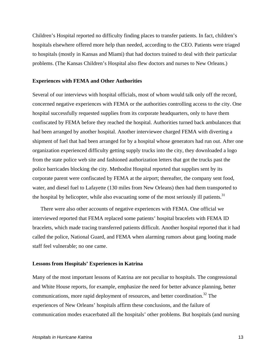Children's Hospital reported no difficulty finding places to transfer patients. In fact, children's hospitals elsewhere offered more help than needed, according to the CEO. Patients were triaged to hospitals (mostly in Kansas and Miami) that had doctors trained to deal with their particular problems. (The Kansas Children's Hospital also flew doctors and nurses to New Orleans.)

#### **Experiences with FEMA and Other Authorities**

Several of our interviews with hospital officials, most of whom would talk only off the record, concerned negative experiences with FEMA or the authorities controlling access to the city. One hospital successfully requested supplies from its corporate headquarters, only to have them confiscated by FEMA before they reached the hospital. Authorities turned back ambulances that had been arranged by another hospital. Another interviewee charged FEMA with diverting a shipment of fuel that had been arranged for by a hospital whose generators had run out. After one organization experienced difficulty getting supply trucks into the city, they downloaded a logo from the state police web site and fashioned authorization letters that got the trucks past the police barricades blocking the city. Methodist Hospital reported that supplies sent by its corporate parent were confiscated by FEMA at the airport; thereafter, the company sent food, water, and diesel fuel to Lafayette (130 miles from New Orleans) then had them transported to the hospital by helicopter, while also evacuating some of the most seriously ill patients.<sup>31</sup>

There were also other accounts of negative experiences with FEMA. One official we interviewed reported that FEMA replaced some patients' hospital bracelets with FEMA ID bracelets, which made tracing transferred patients difficult. Another hospital reported that it had called the police, National Guard, and FEMA when alarming rumors about gang looting made staff feel vulnerable; no one came.

#### **Lessons from Hospitals' Experiences in Katrina**

Many of the most important lessons of Katrina are not peculiar to hospitals. The congressional and White House reports, for example, emphasize the need for better advance planning, better communications, more rapid deployment of resources, and better coordination.<sup>32</sup> The experiences of New Orleans' hospitals affirm these conclusions, and the failure of communication modes exacerbated all the hospitals' other problems. But hospitals (and nursing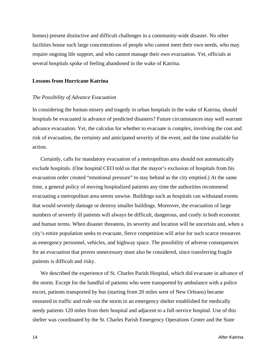homes) present distinctive and difficult challenges in a community-wide disaster. No other facilities house such large concentrations of people who cannot meet their own needs, who may require ongoing life support, and who cannot manage their own evacuation. Yet, officials at several hospitals spoke of feeling abandoned in the wake of Katrina.

## **Lessons from Hurricane Katrina**

#### *The Possibility of Advance Evacuation*

In considering the human misery and tragedy in urban hospitals in the wake of Katrina, should hospitals be evacuated in advance of predicted disasters? Future circumstances may well warrant advance evacuation. Yet, the calculus for whether to evacuate is complex, involving the cost and risk of evacuation, the certainty and anticipated severity of the event, and the time available for action.

Certainly, calls for mandatory evacuation of a metropolitan area should not automatically exclude hospitals. (One hospital CEO told us that the mayor's exclusion of hospitals from his evacuation order created "emotional pressure" to stay behind as the city emptied.) At the same time, a general policy of moving hospitalized patients any time the authorities recommend evacuating a metropolitan area seems unwise. Buildings such as hospitals can withstand events that would severely damage or destroy smaller buildings. Moreover, the evacuation of large numbers of severely ill patients will always be difficult, dangerous, and costly in both economic and human terms. When disaster threatens, its severity and location will be uncertain and, when a city's entire population seeks to evacuate, fierce competition will arise for such scarce resources as emergency personnel, vehicles, and highway space. The possibility of adverse consequences for an evacuation that proves unnecessary must also be considered, since transferring fragile patients is difficult and risky.

We described the experience of St. Charles Parish Hospital, which did evacuate in advance of the storm. Except for the handful of patients who were transported by ambulance with a police escort, patients transported by bus (starting from 20 miles west of New Orleans) became ensnared in traffic and rode out the storm in an emergency shelter established for medically needy patients 120 miles from their hospital and adjacent to a full-service hospital. Use of this shelter was coordinated by the St. Charles Parish Emergency Operations Center and the State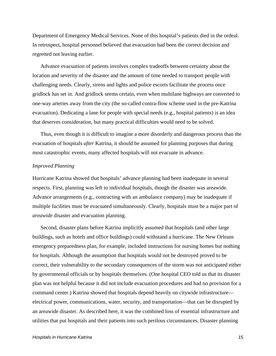Department of Emergency Medical Services. None of this hospital's patients died in the ordeal. In retrospect, hospital personnel believed that evacuation had been the correct decision and regretted not leaving earlier.

Advance evacuation of patients involves complex tradeoffs between certainty about the location and severity of the disaster and the amount of time needed to transport people with challenging needs. Clearly, sirens and lights and police escorts facilitate the process once gridlock has set in. And gridlock seems certain, even when multilane highways are converted to one-way arteries away from the city (the so-called contra-flow scheme used in the pre-Katrina evacuation). Dedicating a lane for people with special needs (e.g., hospital patients) is an idea that deserves consideration, but many practical difficulties would need to be solved.

Thus, even though it is difficult to imagine a more disorderly and dangerous process than the evacuation of hospitals *after* Katrina, it should be assumed for planning purposes that during most catastrophic events, many affected hospitals will not evacuate in advance.

## *Improved Planning*

Hurricane Katrina showed that hospitals' advance planning had been inadequate in several respects. First, planning was left to individual hospitals, though the disaster was areawide. Advance arrangements (e.g., contracting with an ambulance company) may be inadequate if multiple facilities must be evacuated simultaneously. Clearly, hospitals must be a major part of *areawide* disaster and evacuation planning.

Second, disaster plans before Katrina implicitly assumed that hospitals (and other large buildings, such as hotels and office buildings) could withstand a hurricane. The New Orleans emergency preparedness plan, for example, included instructions for nursing homes but nothing for hospitals. Although the assumption that hospitals would not be destroyed proved to be correct, their vulnerability to the secondary consequences of the storm was not anticipated either by governmental officials or by hospitals themselves. (One hospital CEO told us that its disaster plan was not helpful because it did not include evacuation procedures and had no provision for a command center.) Katrina showed that hospitals depend heavily on citywide infrastructure electrical power, communications, water, security, and transportation—that can be disrupted by an areawide disaster. As described here, it was the combined loss of essential infrastructure and utilities that put hospitals and their patients into such perilous circumstances. Disaster planning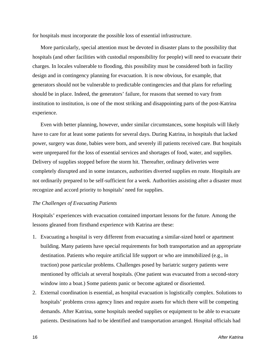for hospitals must incorporate the possible loss of essential infrastructure.

More particularly, special attention must be devoted in disaster plans to the possibility that hospitals (and other facilities with custodial responsibility for people) will need to evacuate their charges. In locales vulnerable to flooding, this possibility must be considered both in facility design and in contingency planning for evacuation. It is now obvious, for example, that generators should not be vulnerable to predictable contingencies and that plans for refueling should be in place. Indeed, the generators' failure, for reasons that seemed to vary from institution to institution, is one of the most striking and disappointing parts of the post-Katrina experience.

Even with better planning, however, under similar circumstances, some hospitals will likely have to care for at least some patients for several days. During Katrina, in hospitals that lacked power, surgery was done, babies were born, and severely ill patients received care. But hospitals were unprepared for the loss of essential services and shortages of food, water, and supplies. Delivery of supplies stopped before the storm hit. Thereafter, ordinary deliveries were completely disrupted and in some instances, authorities diverted supplies en route. Hospitals are not ordinarily prepared to be self-sufficient for a week. Authorities assisting after a disaster must recognize and accord priority to hospitals' need for supplies.

## *The Challenges of Evacuating Patients*

Hospitals' experiences with evacuation contained important lessons for the future. Among the lessons gleaned from firsthand experience with Katrina are these:

- 1. Evacuating a hospital is very different from evacuating a similar-sized hotel or apartment building. Many patients have special requirements for both transportation and an appropriate destination. Patients who require artificial life support or who are immobilized (e.g., in traction) pose particular problems. Challenges posed by bariatric surgery patients were mentioned by officials at several hospitals. (One patient was evacuated from a second-story window into a boat.) Some patients panic or become agitated or disoriented.
- 2. External coordination is essential, as hospital evacuation is logistically complex. Solutions to hospitals' problems cross agency lines and require assets for which there will be competing demands. After Katrina, some hospitals needed supplies or equipment to be able to evacuate patients. Destinations had to be identified and transportation arranged. Hospital officials had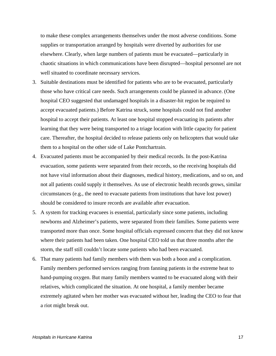to make these complex arrangements themselves under the most adverse conditions. Some supplies or transportation arranged by hospitals were diverted by authorities for use elsewhere. Clearly, when large numbers of patients must be evacuated—particularly in chaotic situations in which communications have been disrupted—hospital personnel are not well situated to coordinate necessary services.

- 3. Suitable destinations must be identified for patients who are to be evacuated, particularly those who have critical care needs. Such arrangements could be planned in advance. (One hospital CEO suggested that undamaged hospitals in a disaster-hit region be required to accept evacuated patients.) Before Katrina struck, some hospitals could not find another hospital to accept their patients. At least one hospital stopped evacuating its patients after learning that they were being transported to a triage location with little capacity for patient care. Thereafter, the hospital decided to release patients only on helicopters that would take them to a hospital on the other side of Lake Pontchartrain.
- 4. Evacuated patients must be accompanied by their medical records. In the post-Katrina evacuation, some patients were separated from their records, so the receiving hospitals did not have vital information about their diagnoses, medical history, medications, and so on, and not all patients could supply it themselves. As use of electronic health records grows, similar circumstances (e.g., the need to evacuate patients from institutions that have lost power) should be considered to insure records are available after evacuation.
- 5. A system for tracking evacuees is essential, particularly since some patients, including newborns and Alzheimer's patients, were separated from their families. Some patients were transported more than once. Some hospital officials expressed concern that they did not know where their patients had been taken. One hospital CEO told us that three months after the storm, the staff still couldn't locate some patients who had been evacuated.
- 6. That many patients had family members with them was both a boon and a complication. Family members performed services ranging from fanning patients in the extreme heat to hand-pumping oxygen. But many family members wanted to be evacuated along with their relatives, which complicated the situation. At one hospital, a family member became extremely agitated when her mother was evacuated without her, leading the CEO to fear that a riot might break out.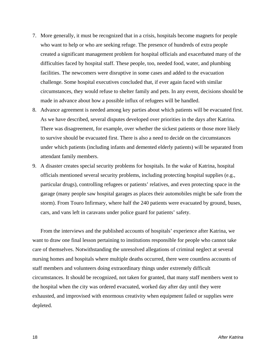- 7. More generally, it must be recognized that in a crisis, hospitals become magnets for people who want to help or who are seeking refuge. The presence of hundreds of extra people created a significant management problem for hospital officials and exacerbated many of the difficulties faced by hospital staff. These people, too, needed food, water, and plumbing facilities. The newcomers were disruptive in some cases and added to the evacuation challenge. Some hospital executives concluded that, if ever again faced with similar circumstances, they would refuse to shelter family and pets. In any event, decisions should be made in advance about how a possible influx of refugees will be handled.
- 8. Advance agreement is needed among key parties about which patients will be evacuated first. As we have described, several disputes developed over priorities in the days after Katrina. There was disagreement, for example, over whether the sickest patients or those more likely to survive should be evacuated first. There is also a need to decide on the circumstances under which patients (including infants and demented elderly patients) will be separated from attendant family members.
- 9. A disaster creates special security problems for hospitals. In the wake of Katrina, hospital officials mentioned several security problems, including protecting hospital supplies (e.g., particular drugs), controlling refugees or patients' relatives, and even protecting space in the garage (many people saw hospital garages as places their automobiles might be safe from the storm). From Touro Infirmary, where half the 240 patients were evacuated by ground, buses, cars, and vans left in caravans under police guard for patients' safety.

From the interviews and the published accounts of hospitals' experience after Katrina, we want to draw one final lesson pertaining to institutions responsible for people who cannot take care of themselves. Notwithstanding the unresolved allegations of criminal neglect at several nursing homes and hospitals where multiple deaths occurred, there were countless accounts of staff members and volunteers doing extraordinary things under extremely difficult circumstances. It should be recognized, not taken for granted, that many staff members went to the hospital when the city was ordered evacuated, worked day after day until they were exhausted, and improvised with enormous creativity when equipment failed or supplies were depleted.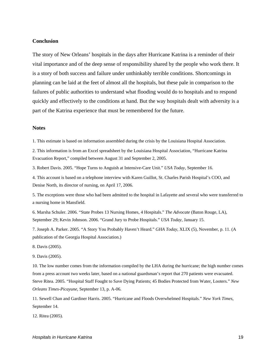### **Conclusion**

The story of New Orleans' hospitals in the days after Hurricane Katrina is a reminder of their vital importance and of the deep sense of responsibility shared by the people who work there. It is a story of both success and failure under unthinkably terrible conditions. Shortcomings in planning can be laid at the feet of almost all the hospitals, but these pale in comparison to the failures of public authorities to understand what flooding would do to hospitals and to respond quickly and effectively to the conditions at hand. But the way hospitals dealt with adversity is a part of the Katrina experience that must be remembered for the future.

#### **Notes**

1. This estimate is based on information assembled during the crisis by the Louisiana Hospital Association.

2. This information is from an Excel spreadsheet by the Louisiana Hospital Association, "Hurricane Katrina Evacuation Report," compiled between August 31 and September 2, 2005.

3. Robert Davis. 2005. "Hope Turns to Anguish at Intensive-Care Unit." *USA Today*, September 16.

4. This account is based on a telephone interview with Karen Guillot, St. Charles Parish Hospital's COO, and Denise North, its director of nursing, on April 17, 2006.

5. The exceptions were those who had been admitted to the hospital in Lafayette and several who were transferred to a nursing home in Mansfield.

6. Marsha Schuler. 2006. "State Probes 13 Nursing Homes, 4 Hospitals." *The Advocate* (Baton Rouge, LA), September 29; Kevin Johnson. 2006. "Grand Jury to Probe Hospitals." *USA Today*, January 15.

7. Joseph A. Parker. 2005. "A Story You Probably Haven't Heard." *GHA Today*, XLIX (5), November, p. 11. (A publication of the Georgia Hospital Association.)

8. Davis (2005).

9. Davis (2005).

10. The low number comes from the information compiled by the LHA during the hurricane; the high number comes from a press account two weeks later, based on a national guardsman's report that 270 patients were evacuated. Steve Ritea. 2005. "Hospital Staff Fought to Save Dying Patients; 45 Bodies Protected from Water, Looters." *New Orleans Times-Picayune*, September 13, p. A-06.

11. Sewell Chan and Gardiner Harris. 2005. "Hurricane and Floods Overwhelmed Hospitals." *New York Times*, September 14.

12. Ritea (2005).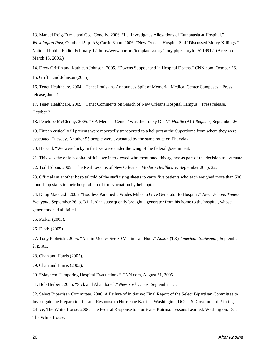13. Manuel Roig-Frazia and Ceci Conolly. 2006. "La. Investigates Allegations of Euthanasia at Hospital." *Washington Post*, October 15, p. A3; Carrie Kahn. 2006. "New Orleans Hospital Staff Discussed Mercy Killings." National Public Radio, February 17. http://www.npr.org/templates/story/story.php?storyId=5219917. (Accessed March 15, 2006.)

14. Drew Griffin and Kathleen Johnson. 2005. "Dozens Subpoenaed in Hospital Deaths." CNN.com, October 26.

15. Griffin and Johnson (2005).

16. Tenet Healthcare. 2004. "Tenet Louisiana Announces Split of Memorial Medical Center Campuses." Press release, June 1.

17. Tenet Healthcare. 2005. "Tenet Comments on Search of New Orleans Hospital Campus." Press release, October 2.

18. Penelope McClenny. 2005. "VA Medical Center 'Was the Lucky One'." *Mobile* (AL) *Register*, September 26.

19. Fifteen critically ill patients were reportedly transported to a heliport at the Superdome from where they were evacuated Tuesday. Another 55 people were evacuated by the same route on Thursday.

20. He said, "We were lucky in that we were under the wing of the federal government."

21. This was the only hospital official we interviewed who mentioned this agency as part of the decision to evacuate.

22. Todd Sloan. 2005. "The Real Lessons of New Orleans." *Modern Healthcare*, September 26, p. 22.

23. Officials at another hospital told of the staff using sheets to carry five patients who each weighed more than 500 pounds up stairs to their hospital's roof for evacuation by helicopter.

24. Doug MacCash. 2005. "Bootless Paramedic Wades Miles to Give Generator to Hospital." *New Orleans Times-Picayune*, September 26, p. B1. Jordan subsequently brought a generator from his home to the hospital, whose generators had all failed.

25. Parker (2005).

26. Davis (2005).

27. Tony Plohetski. 2005. "Austin Medics See 30 Victims an Hour." *Austin* (TX) *American-Statesman*, September 2, p. A1.

28. Chan and Harris (2005).

29. Chan and Harris (2005).

30. "Mayhem Hampering Hospital Evacuations." CNN.com, August 31, 2005.

31. Bob Herbert. 2005. "Sick and Abandoned." *New York Times*, September 15.

32. Select Bipartisan Committee. 2006. A Failure of Initiative: Final Report of the Select Bipartisan Committee to Investigate the Preparation for and Response to Hurricane Katrina. Washington, DC: U.S. Government Printing Office; The White House. 2006. The Federal Response to Hurricane Katrina: Lessons Learned. Washington, DC: The White House.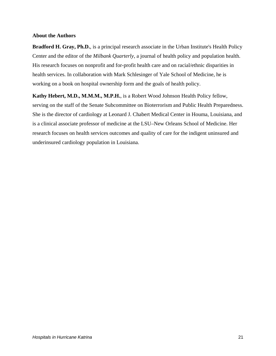## **About the Authors**

**Bradford H. Gray, Ph.D.**, is a principal research associate in the Urban Institute's Health Policy Center and the editor of the *Milbank Quarterly*, a journal of health policy and population health. His research focuses on nonprofit and for-profit health care and on racial/ethnic disparities in health services. In collaboration with Mark Schlesinger of Yale School of Medicine, he is working on a book on hospital ownership form and the goals of health policy.

**Kathy Hebert, M.D., M.M.M., M.P.H.**, is a Robert Wood Johnson Health Policy fellow, serving on the staff of the Senate Subcommittee on Bioterrorism and Public Health Preparedness. She is the director of cardiology at Leonard J. Chabert Medical Center in Houma, Louisiana, and is a clinical associate professor of medicine at the LSU–New Orleans School of Medicine. Her research focuses on health services outcomes and quality of care for the indigent uninsured and underinsured cardiology population in Louisiana.